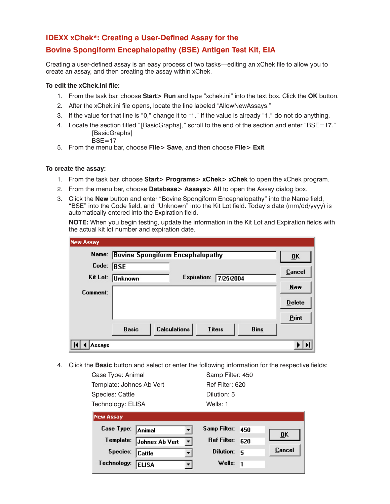## **IDEXX xChek\*: Creating a User-Defined Assay for the**

# **Bovine Spongiform Encephalopathy (BSE) Antigen Test Kit, EIA**

Creating a user-defined assay is an easy process of two tasks—editing an xChek file to allow you to create an assay, and then creating the assay within xChek.

### **To edit the xChek.ini file:**

- 1. From the task bar, choose **Start> Run** and type "xchek.ini" into the text box. Click the **OK** button.
- 2. After the xChek.ini file opens, locate the line labeled "AllowNewAssays."
- 3. If the value for that line is "0," change it to "1." If the value is already "1," do not do anything.
- 4. Locate the section titled "[BasicGraphs]," scroll to the end of the section and enter "BSE=17." [BasicGraphs]
	- $BSE=17$
- 5. From the menu bar, choose **File> Save**, and then choose **File> Exit**.

### **To create the assay:**

- 1. From the task bar, choose **Start> Programs> xChek> xChek** to open the xChek program.
- 2. From the menu bar, choose **Database> Assays> All** to open the Assay dialog box.
- 3. Click the **New** button and enter "Bovine Spongiform Encephalopathy" into the Name field, "BSE" into the Code field, and "Unknown" into the Kit Lot field. Today's date (mm/dd/yyyy) is automatically entered into the Expiration field.

**NOTE:** When you begin testing, update the information in the Kit Lot and Expiration fields with the actual kit lot number and expiration date.

| <b>New Assay</b> |                                                                     |                           |
|------------------|---------------------------------------------------------------------|---------------------------|
|                  | Name: Bovine Spongiform Encephalopathy                              | $\overline{\mathbf{0}}$ K |
| Code:            | <b>BSE</b>                                                          |                           |
|                  | Kit Lot: Unknown<br>Expiration:<br>7/25/2004                        | Cancel                    |
| Comment:         |                                                                     | New                       |
|                  |                                                                     | $D$ elete                 |
|                  |                                                                     | Print                     |
|                  | <b>Calculations</b><br><b>Basic</b><br><b>Bins</b><br><b>Titers</b> |                           |
| ssays            |                                                                     |                           |

4. Click the **Basic** button and select or enter the following information for the respective fields:

| Case Type: Animal        |
|--------------------------|
| Template: Johnes Ab Vert |
| Species: Cattle          |
| Technology: FLISA        |

Samp Filter: 450 Ref Filter: 620 Dilution: 5

| Technology: ELISA        |                        | Wells: 1         |               |
|--------------------------|------------------------|------------------|---------------|
| <b>New Assay</b>         |                        |                  |               |
| Case Type: Animal        |                        | Samp Filter: 450 |               |
| Template: Johnes Ab Vert | $\left  \cdot \right $ | Ref Filter: 620  | ŪK            |
| Species: Cattle          |                        | Dilution: 5      | <b>Cancel</b> |
| Technology: ELISA        |                        | Wells: $1$       |               |
|                          |                        |                  |               |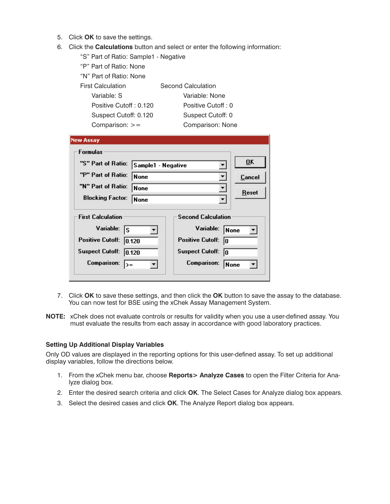- 5. Click **OK** to save the settings.
- 6. Click the **Calculations** button and select or enter the following information:

| "S" Part of Ratio: Sample1 - Negative                             |           |
|-------------------------------------------------------------------|-----------|
| "P" Part of Ratio: None                                           |           |
| "N" Part of Ratio: None                                           |           |
| <b>First Calculation</b><br>Second Calculation                    |           |
| Variable: S<br>Variable: None                                     |           |
| Positive Cutoff: 0.120<br>Positive Cutoff: 0                      |           |
| Suspect Cutoff: 0.120<br>Suspect Cutoff: 0                        |           |
| Comparison: $>=$<br>Comparison: None                              |           |
|                                                                   |           |
| New Assay                                                         |           |
| <b>Formulas</b>                                                   |           |
| "S" Part of Ratio:<br>Sample1 - Negative                          | <b>OK</b> |
| "P" Part of Ratio:<br>None                                        | Cancel    |
| "N" Part of Ratio:<br> None<br>▼<br>Reset                         |           |
| <b>Blocking Factor:</b><br>None<br>$\overline{\phantom{a}}$       |           |
|                                                                   |           |
| <b>First Calculation</b><br><b>Second Calculation</b>             |           |
| Variable:<br>Variable:<br>ls<br>None                              |           |
| <b>Positive Cutoff:</b><br><b>Positive Cutoff:</b><br>0.120<br>lo |           |
| <b>Suspect Cutoff:</b><br><b>Suspect Cutoff:</b><br> 0.120<br>lo  |           |
| Comparison:<br>Comparison:<br>None<br>$\rangle =$                 |           |

- 7. Click **OK** to save these settings, and then click the **OK** button to save the assay to the database. You can now test for BSE using the xChek Assay Management System.
- **NOTE:** xChek does not evaluate controls or results for validity when you use a user-defined assay. You must evaluate the results from each assay in accordance with good laboratory practices.

### **Setting Up Additional Display Variables**

Only OD values are displayed in the reporting options for this user-defined assay. To set up additional display variables, follow the directions below.

- 1. From the xChek menu bar, choose **Reports> Analyze Cases** to open the Filter Criteria for Analyze dialog box.
- 2. Enter the desired search criteria and click **OK**. The Select Cases for Analyze dialog box appears.
- 3. Select the desired cases and click **OK**. The Analyze Report dialog box appears.